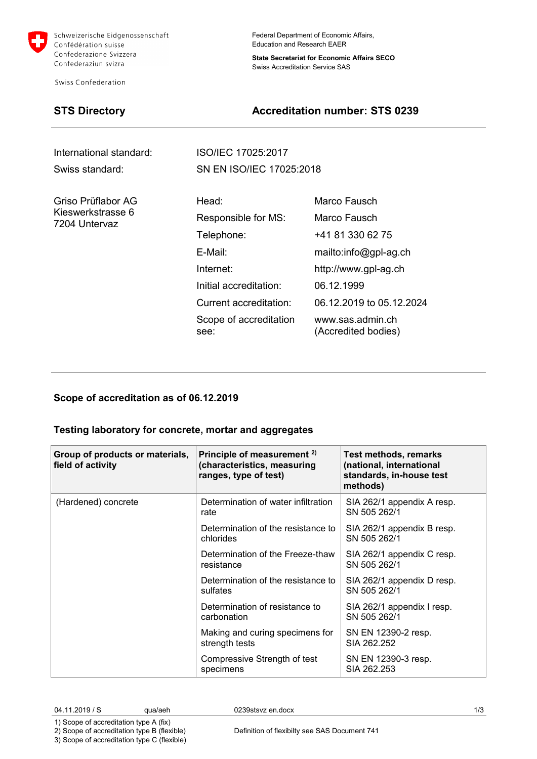

Schweizerische Eidgenossenschaft Confédération suisse Confederazione Svizzera Confederaziun svizra

Swiss Confederation

Federal Department of Economic Affairs, Education and Research EAER

**State Secretariat for Economic Affairs SECO** Swiss Accreditation Service SAS

## **STS Directory Accreditation number: STS 0239**

| International standard:            | ISO/IEC 17025:2017             |                                         |  |
|------------------------------------|--------------------------------|-----------------------------------------|--|
| Swiss standard:                    | SN EN ISO/IEC 17025:2018       |                                         |  |
| Griso Prüflabor AG                 | Head:                          | Marco Fausch                            |  |
| Kieswerkstrasse 6<br>7204 Untervaz | Responsible for MS:            | Marco Fausch                            |  |
|                                    | Telephone:                     | +41 81 330 62 75                        |  |
|                                    | E-Mail:                        | mailto:info@gpl-ag.ch                   |  |
|                                    | Internet:                      | http://www.gpl-ag.ch                    |  |
|                                    | Initial accreditation:         | 06.12.1999                              |  |
|                                    | <b>Current accreditation:</b>  | 06.12.2019 to 05.12.2024                |  |
|                                    | Scope of accreditation<br>see: | www.sas.admin.ch<br>(Accredited bodies) |  |

### **Scope of accreditation as of 06.12.2019**

### **Testing laboratory for concrete, mortar and aggregates**

| Group of products or materials,<br>field of activity | Principle of measurement <sup>2)</sup><br>(characteristics, measuring<br>ranges, type of test) | <b>Test methods, remarks</b><br>(national, international<br>standards, in-house test<br>methods) |
|------------------------------------------------------|------------------------------------------------------------------------------------------------|--------------------------------------------------------------------------------------------------|
| (Hardened) concrete                                  | Determination of water infiltration<br>rate                                                    | SIA 262/1 appendix A resp.<br>SN 505 262/1                                                       |
|                                                      | Determination of the resistance to<br>chlorides                                                | SIA 262/1 appendix B resp.<br>SN 505 262/1                                                       |
|                                                      | Determination of the Freeze-thaw<br>resistance                                                 | SIA 262/1 appendix C resp.<br>SN 505 262/1                                                       |
|                                                      | Determination of the resistance to<br>sulfates                                                 | SIA 262/1 appendix D resp.<br>SN 505 262/1                                                       |
|                                                      | Determination of resistance to<br>carbonation                                                  | SIA 262/1 appendix I resp.<br>SN 505 262/1                                                       |
|                                                      | Making and curing specimens for<br>strength tests                                              | SN EN 12390-2 resp.<br>SIA 262.252                                                               |
|                                                      | Compressive Strength of test<br>specimens                                                      | SN EN 12390-3 resp.<br>SIA 262.253                                                               |

04.11.2019 / S qua/aeh 0239stsvz en.docx 1/3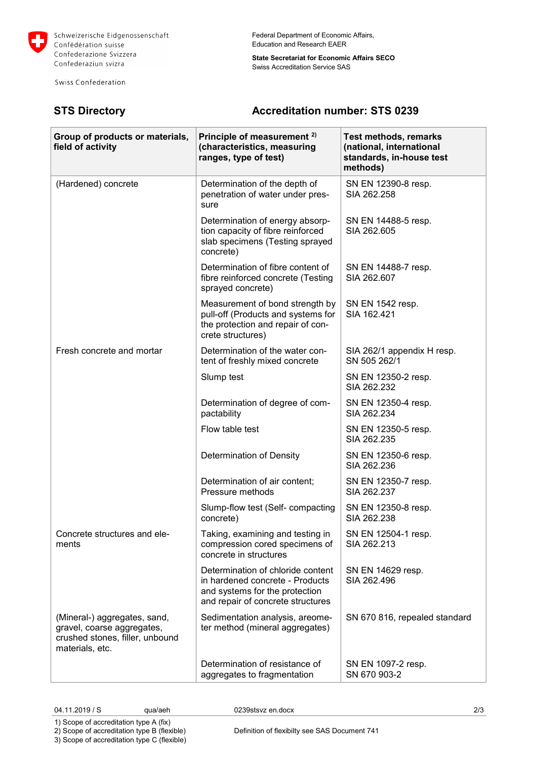

Г

Swiss Confederation

Federal Department of Economic Affairs, Education and Research EAER

**State Secretariat for Economic Affairs SECO** Swiss Accreditation Service SAS

# **STS Directory Accreditation number: STS 0239**

т

| Group of products or materials,<br>field of activity                                                             | Principle of measurement <sup>2)</sup><br>(characteristics, measuring<br>ranges, type of test)                                              | Test methods, remarks<br>(national, international<br>standards, in-house test<br>methods) |
|------------------------------------------------------------------------------------------------------------------|---------------------------------------------------------------------------------------------------------------------------------------------|-------------------------------------------------------------------------------------------|
| (Hardened) concrete                                                                                              | Determination of the depth of<br>penetration of water under pres-<br>sure                                                                   | SN EN 12390-8 resp.<br>SIA 262.258                                                        |
|                                                                                                                  | Determination of energy absorp-<br>tion capacity of fibre reinforced<br>slab specimens (Testing sprayed<br>concrete)                        | SN EN 14488-5 resp.<br>SIA 262.605                                                        |
|                                                                                                                  | Determination of fibre content of<br>fibre reinforced concrete (Testing<br>sprayed concrete)                                                | SN EN 14488-7 resp.<br>SIA 262.607                                                        |
|                                                                                                                  | Measurement of bond strength by<br>pull-off (Products and systems for<br>the protection and repair of con-<br>crete structures)             | SN EN 1542 resp.<br>SIA 162.421                                                           |
| Fresh concrete and mortar                                                                                        | Determination of the water con-<br>tent of freshly mixed concrete                                                                           | SIA 262/1 appendix H resp.<br>SN 505 262/1                                                |
|                                                                                                                  | Slump test                                                                                                                                  | SN EN 12350-2 resp.<br>SIA 262.232                                                        |
|                                                                                                                  | Determination of degree of com-<br>pactability                                                                                              | SN EN 12350-4 resp.<br>SIA 262.234                                                        |
|                                                                                                                  | Flow table test                                                                                                                             | SN EN 12350-5 resp.<br>SIA 262.235                                                        |
|                                                                                                                  | Determination of Density                                                                                                                    | SN EN 12350-6 resp.<br>SIA 262.236                                                        |
|                                                                                                                  | Determination of air content;<br>Pressure methods                                                                                           | SN EN 12350-7 resp.<br>SIA 262,237                                                        |
|                                                                                                                  | Slump-flow test (Self- compacting<br>concrete)                                                                                              | SN EN 12350-8 resp.<br>SIA 262.238                                                        |
| Concrete structures and ele-<br>ments                                                                            | Taking, examining and testing in<br>compression cored specimens of<br>concrete in structures                                                | SN EN 12504-1 resp.<br>SIA 262.213                                                        |
|                                                                                                                  | Determination of chloride content<br>in hardened concrete - Products<br>and systems for the protection<br>and repair of concrete structures | SN EN 14629 resp.<br>SIA 262.496                                                          |
| (Mineral-) aggregates, sand,<br>gravel, coarse aggregates,<br>crushed stones, filler, unbound<br>materials, etc. | Sedimentation analysis, areome-<br>ter method (mineral aggregates)                                                                          | SN 670 816, repealed standard                                                             |
|                                                                                                                  | Determination of resistance of<br>aggregates to fragmentation                                                                               | SN EN 1097-2 resp.<br>SN 670 903-2                                                        |